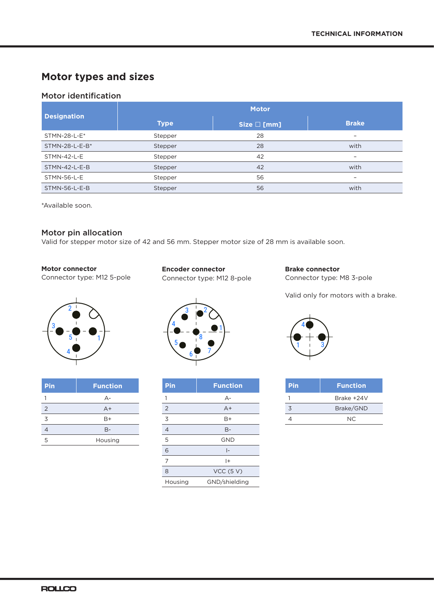# **Motor types and sizes**

# Motor identification

| <b>Designation</b> |             | <b>Motor</b> |                          |
|--------------------|-------------|--------------|--------------------------|
|                    | <b>Type</b> | Size □ [mm]  | <b>Brake</b>             |
| STMN-28-L-E*       | Stepper     | 28           | $\overline{\phantom{0}}$ |
| STMN-28-L-E-B*     | Stepper     | 28           | with                     |
| STMN-42-L-E        | Stepper     | 42           | $\overline{\phantom{0}}$ |
| STMN-42-L-E-B      | Stepper     | 42           | with                     |
| STMN-56-L-E        | Stepper     | 56           | $\overline{\phantom{0}}$ |
| STMN-56-L-E-B      | Stepper     | 56           | with                     |

\*Available soon.

## Motor pin allocation

Valid for stepper motor size of 42 and 56 mm. Stepper motor size of 28 mm is available soon.

## **Motor connector**

Connector type: M12 5-pole



| Pin | <b>Function</b> |
|-----|-----------------|
|     | $A -$           |
| 2   | $A+$            |
| 3   | B+              |
| 4   | $B -$           |
| 5   | Housing         |
|     |                 |

**Encoder connector** Connector type: M12 8-pole



| Pin            | <b>Function</b> |
|----------------|-----------------|
| 1              | $A -$           |
| $\overline{2}$ | $A+$            |
| 3              | B+              |
| $\overline{4}$ | B-              |
| 5              | <b>GND</b>      |
| 6              | $\vert$ –       |
| 7              | $^{+}$          |
| 8              | VCC(5 V)        |
| Housing        | GND/shielding   |

**Brake connector** Connector type: M8 3-pole

Valid only for motors with a brake.



| Pin | <b>Function</b> |
|-----|-----------------|
|     | Brake +24V      |
| 3   | Brake/GND       |
|     | NC.             |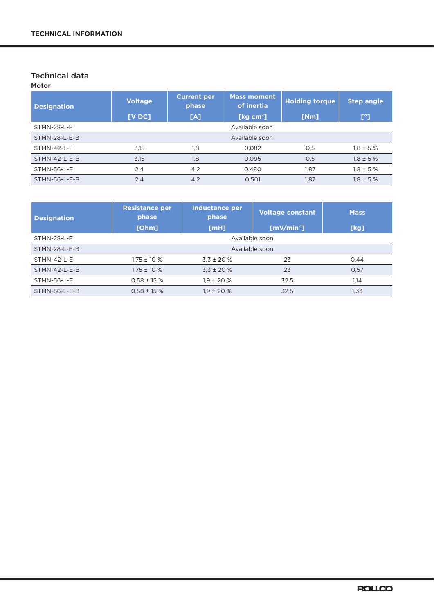## Technical data **Motor**

| <b>Designation</b>   | <b>Voltage</b><br>[VDC] | <b>Current per</b><br>phase<br>[A] | <b>Mass moment</b><br>of inertia<br>[ $kg cm2$ ] | <b>Holding torque</b><br>[Nm] | <b>Step angle</b><br>$\mathsf{I}^\circ$ |
|----------------------|-------------------------|------------------------------------|--------------------------------------------------|-------------------------------|-----------------------------------------|
| <b>STMN-28-L-E</b>   |                         |                                    | Available soon                                   |                               |                                         |
| STMN-28-L-E-B        |                         | Available soon                     |                                                  |                               |                                         |
| <b>STMN-42-L-E</b>   | 3,15                    | 1,8                                | 0,082                                            | 0,5                           | $1.8 \pm 5 \%$                          |
| STMN-42-L-E-B        | 3,15                    | 1,8                                | 0,095                                            | 0,5                           | $1,8 \pm 5 \%$                          |
| STMN-56-L-E          | 2,4                     | 4,2                                | 0,480                                            | 1,87                          | $1,8 \pm 5 \%$                          |
| <b>STMN-56-L-E-B</b> | 2,4                     | 4,2                                | 0.501                                            | 1.87                          | $1.8 \pm 5 \%$                          |

| <b>Designation</b> | <b>Resistance per</b><br>phase<br>[Ohm] | Inductance per<br>phase<br>[MH] | <b>Voltage constant</b><br>$[mV/min-1]$ | <b>Mass</b><br>[kg] |
|--------------------|-----------------------------------------|---------------------------------|-----------------------------------------|---------------------|
| <b>STMN-28-L-E</b> |                                         | Available soon                  |                                         |                     |
| STMN-28-L-E-B      | Available soon                          |                                 |                                         |                     |
| <b>STMN-42-L-E</b> | $1.75 \pm 10 \%$                        | $3.3 \pm 20 \%$                 | 23                                      | 0.44                |
| STMN-42-L-E-B      | $1.75 \pm 10 \%$                        | $3,3 \pm 20$ %                  | 23                                      | 0,57                |
| <b>STMN-56-L-E</b> | $0.58 \pm 15$ %                         | $1.9 \pm 20 \%$                 | 32.5                                    | 1.14                |
| STMN-56-L-E-B      | $0.58 \pm 15$ %                         | $1.9 \pm 20 \%$                 | 32.5                                    | 1,33                |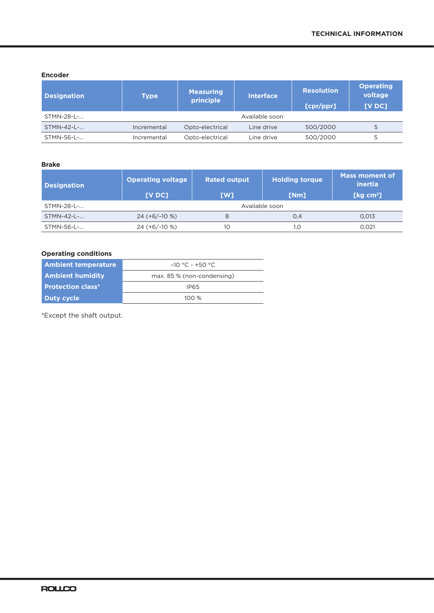#### **Encoder**

| <b>Designation</b> | <b>Type</b> | <b>Measuring</b><br>principle | <b>Interface</b> | <b>Resolution</b><br>[cpr/ppr] | <b>Operating</b><br>voltage<br>[VDC] |
|--------------------|-------------|-------------------------------|------------------|--------------------------------|--------------------------------------|
| STMN-28-L-         |             |                               | Available soon   |                                |                                      |
| STMN-42-L-         | Incremental | Opto-electrical               | Line drive       | 500/2000                       |                                      |
| STMN-56-L-         | Incremental | Opto-electrical               | Line drive       | 500/2000                       | 5                                    |

## **Brake**

| <b>Designation</b> | <b>Operating voltage</b><br>[VDC] | <b>Rated output</b><br>[W] | <b>Holding torque</b><br>[Nm] | <b>Mass moment of</b><br>inertia<br>[ $kg \, cm^2$ ] |
|--------------------|-----------------------------------|----------------------------|-------------------------------|------------------------------------------------------|
| STMN-28-L-         | Available soon                    |                            |                               |                                                      |
| STMN-42-L-         | $24 (+6/-10%)$                    | 8                          | O.4                           | 0.013                                                |
| STMN-56-L-         | $24 (+6/-10%)$                    | 10                         | 1.0                           | 0.021                                                |

## **Operating conditions**

| <b>Ambient temperature</b> | $-10$ °C ~ +50 °C.         |
|----------------------------|----------------------------|
| <b>Ambient humidity</b>    | max. 85 % (non-condensing) |
| <b>Protection class*</b>   | IP65                       |
| Duty cycle                 | 100 $%$                    |

\*Except the shaft output.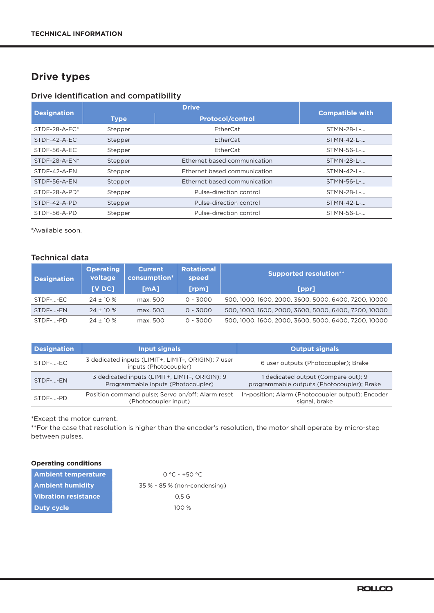# **Drive types**

## Drive identification and compatibility

| <b>Designation</b> |             | <b>Drive</b>                 |                        |
|--------------------|-------------|------------------------------|------------------------|
|                    | <b>Type</b> | <b>Protocol/control</b>      | <b>Compatible with</b> |
| $STDF-28-A-EC*$    | Stepper     | EtherCat                     | STMN-28-L-             |
| STDF-42-A-EC       | Stepper     | EtherCat                     | STMN-42-L-             |
| STDF-56-A-EC       | Stepper     | EtherCat                     | STMN-56-L-             |
| $STDF-28-A-EN^*$   | Stepper     | Ethernet based communication | STMN-28-L-             |
| STDF-42-A-FN       | Stepper     | Ethernet based communication | STMN-42-L-             |
| STDF-56-A-EN       | Stepper     | Ethernet based communication | STMN-56-L-             |
| $STDF-28-A-PD*$    | Stepper     | Pulse-direction control      | STMN-28-L-             |
| STDF-42-A-PD       | Stepper     | Pulse-direction control      | STMN-42-L-             |
| STDF-56-A-PD       | Stepper     | Pulse-direction control      | STMN-56-L-             |

\*Available soon.

# Technical data

| <b>Designation</b> | <b>Operating</b><br>voltage | <b>Current</b><br>consumption* | <b>Rotational</b><br>speed | <b>Supported resolution**</b>                        |
|--------------------|-----------------------------|--------------------------------|----------------------------|------------------------------------------------------|
|                    | <b>IV DC1</b>               | [mA]                           | [ <b>rpm</b> ]             | [ppr]                                                |
| STDF--EC           | $24 \pm 10 \%$              | max. 500                       | $0 - 3000$                 | 500, 1000, 1600, 2000, 3600, 5000, 6400, 7200, 10000 |
| STDF--EN           | $24 \pm 10 \%$              | max. 500                       | $0 - 3000$                 | 500, 1000, 1600, 2000, 3600, 5000, 6400, 7200, 10000 |
| STDF--PD           | $24 + 10%$                  | max. 500                       | $0 - 3000$                 | 500, 1000, 1600, 2000, 3600, 5000, 6400, 7200, 10000 |

| <b>Designation</b> | Input signals                                                                        | <b>Output signals</b>                                                             |
|--------------------|--------------------------------------------------------------------------------------|-----------------------------------------------------------------------------------|
| STDF--EC           | 3 dedicated inputs (LIMIT+, LIMIT-, ORIGIN); 7 user<br>inputs (Photocoupler)         | 6 user outputs (Photocoupler); Brake                                              |
| STDF--EN           | 3 dedicated inputs (LIMIT+, LIMIT-, ORIGIN); 9<br>Programmable inputs (Photocoupler) | 1 dedicated output (Compare out); 9<br>programmable outputs (Photocoupler); Brake |
| $STDF-. -PD$       | Position command pulse; Servo on/off; Alarm reset<br>(Photocoupler input)            | In-position; Alarm (Photocoupler output); Encoder<br>signal, brake                |

\*Except the motor current.

\*\*For the case that resolution is higher than the encoder's resolution, the motor shall operate by micro-step between pulses.

## **Operating conditions**

| <b>Ambient temperature</b> | $0 °C ~+50 °C$                      |
|----------------------------|-------------------------------------|
| <b>Ambient humidity</b>    | $35\% \times 85\%$ (non-condensing) |
| Vibration resistance       | 0.5 <sub>G</sub>                    |
| Duty cycle                 | 100 $%$                             |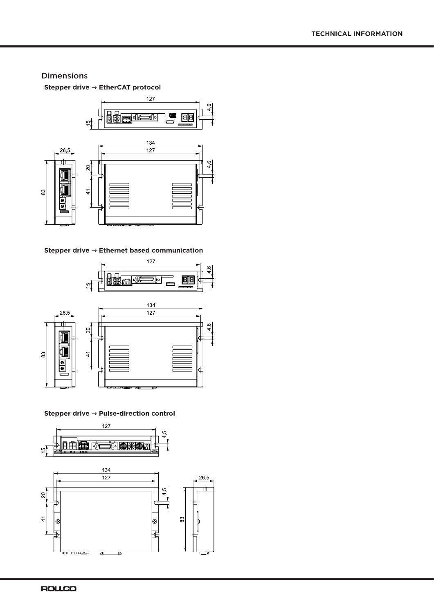## Dimensions

**Stepper drive → EtherCAT protocol**



**Stepper drive → Ethernet based communication**



#### **Stepper drive → Pulse-direction control**

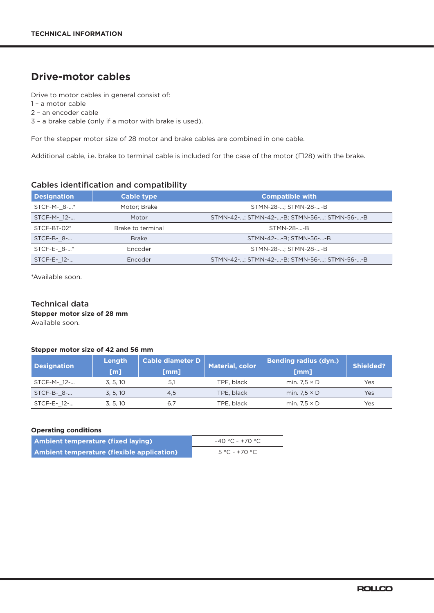# **Drive-motor cables**

Drive to motor cables in general consist of:

1 – a motor cable

2 – an encoder cable

3 – a brake cable (only if a motor with brake is used).

For the stepper motor size of 28 motor and brake cables are combined in one cable.

Additional cable, i.e. brake to terminal cable is included for the case of the motor (□28) with the brake.

## Cables identification and compatibility

| <b>Designation</b> | <b>Cable type</b> | <b>Compatible with</b>                     |  |  |
|--------------------|-------------------|--------------------------------------------|--|--|
| STCF-M-8-*         | Motor: Brake      | STMN-28-; STMN-28--B                       |  |  |
| STCF-M- 12-        | Motor             | STMN-42-; STMN-42--B; STMN-56-; STMN-56--B |  |  |
| STCF-BT-02*        | Brake to terminal | STMN-28--B                                 |  |  |
| STCF-B- 8-         | <b>Brake</b>      | STMN-42--B; STMN-56--B                     |  |  |
| STCF-E- 8-*        | Encoder           | STMN-28-; STMN-28--B                       |  |  |
| STCF-E- 12-        | Encoder           | STMN-42-; STMN-42--B; STMN-56-; STMN-56--B |  |  |

\*Available soon.

## Technical data

**Stepper motor size of 28 mm**

Available soon.

#### **Stepper motor size of 42 and 56 mm**

| <b>Designation</b> | Length<br>[m] | <b>Cable diameter D</b><br>[mm] | Material, color | <b>Bending radius (dyn.)</b><br>[mm] | <b>Shielded?</b> |
|--------------------|---------------|---------------------------------|-----------------|--------------------------------------|------------------|
| STCF-M- 12-        | 3.5.10        | 5.1                             | TPE. black      | min. $7.5 \times D$                  | Yes              |
| $STCF-B-8-$        | 3.5.10        | 4.5                             | TPE, black      | min. $7.5 \times D$                  | Yes              |
| STCF-E- 12-        | 3.5.10        | 6.7                             | TPE, black      | min. $7.5 \times D$                  | Yes              |

#### **Operating conditions**

| <b>Ambient temperature (fixed laying)</b>  | $-40$ °C ~ +70 °C. |
|--------------------------------------------|--------------------|
| Ambient temperature (flexible application) | 5 °C ~ +70 °C      |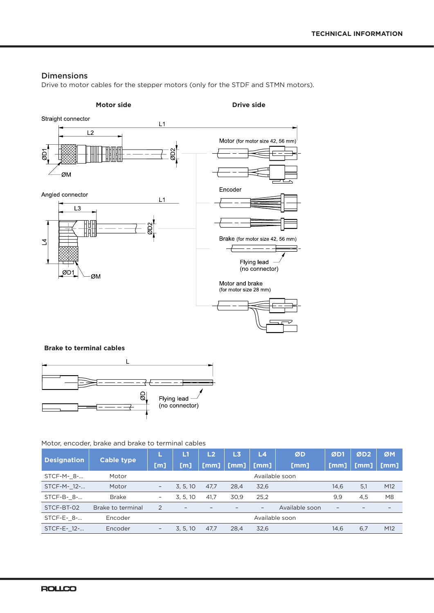## Dimensions

Drive to motor cables for the stepper motors (only for the STDF and STMN motors).



### **Brake to terminal cables**



#### Motor, encoder, brake and brake to terminal cables

| <b>Cable type</b><br><b>Designation</b> |                   | L1                       | L <sub>2</sub>           | L3   | L4                       | ØD                       | ØD1            | ØD2               | ØM   |                          |
|-----------------------------------------|-------------------|--------------------------|--------------------------|------|--------------------------|--------------------------|----------------|-------------------|------|--------------------------|
|                                         | [m]               | [m]                      | [mm]                     | [mm] | $\lfloor$ [mm]           | [mm]                     | [mm]           | [mm]              | [mm] |                          |
| STCF-M- 8-                              | Motor             |                          |                          |      |                          | Available soon           |                |                   |      |                          |
| STCF-M- 12-                             | Motor             | $\overline{\phantom{a}}$ | 3, 5, 10                 | 47.7 | 28,4                     | 32,6                     |                | 14,6              | 5,1  | M12                      |
| STCF-B- 8-                              | <b>Brake</b>      | $\overline{\phantom{a}}$ | 3.5.10                   | 41.7 | 30.9                     | 25,2                     |                | 9,9               | 4,5  | M <sub>8</sub>           |
| STCF-BT-02                              | Brake to terminal | 2                        | $\overline{\phantom{0}}$ |      | $\overline{\phantom{0}}$ | $\overline{\phantom{m}}$ | Available soon | $\qquad \qquad -$ |      | $\overline{\phantom{0}}$ |
| STCF-E- 8-                              | Encoder           |                          |                          |      |                          | Available soon           |                |                   |      |                          |
| STCF-E- 12-                             | Encoder           | $\overline{\phantom{a}}$ | 3.5.10                   | 47.7 | 28.4                     | 32,6                     |                | 14.6              | 6,7  | M12                      |